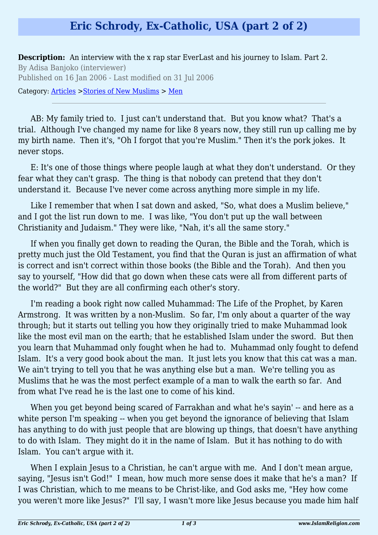## **Eric Schrody, Ex-Catholic, USA (part 2 of 2)**

**Description:** An interview with the x rap star EverLast and his journey to Islam. Part 2. By Adisa Banjoko (interviewer) Published on 16 Jan 2006 - Last modified on 31 Jul 2006

Category: [Articles](http://www.islamreligion.com/articles/) >[Stories of New Muslims](http://www.islamreligion.com/category/63/) > [Men](http://www.islamreligion.com/category/64/)

AB: My family tried to. I just can't understand that. But you know what? That's a trial. Although I've changed my name for like 8 years now, they still run up calling me by my birth name. Then it's, "Oh I forgot that you're Muslim." Then it's the pork jokes. It never stops.

E: It's one of those things where people laugh at what they don't understand. Or they fear what they can't grasp. The thing is that nobody can pretend that they don't understand it. Because I've never come across anything more simple in my life.

Like I remember that when I sat down and asked, "So, what does a Muslim believe," and I got the list run down to me. I was like, "You don't put up the wall between Christianity and Judaism." They were like, "Nah, it's all the same story."

If when you finally get down to reading the Quran, the Bible and the Torah, which is pretty much just the Old Testament, you find that the Quran is just an affirmation of what is correct and isn't correct within those books (the Bible and the Torah). And then you say to yourself, "How did that go down when these cats were all from different parts of the world?" But they are all confirming each other's story.

I'm reading a book right now called Muhammad: The Life of the Prophet, by Karen Armstrong. It was written by a non-Muslim. So far, I'm only about a quarter of the way through; but it starts out telling you how they originally tried to make Muhammad look like the most evil man on the earth; that he established Islam under the sword. But then you learn that Muhammad only fought when he had to. Muhammad only fought to defend Islam. It's a very good book about the man. It just lets you know that this cat was a man. We ain't trying to tell you that he was anything else but a man. We're telling you as Muslims that he was the most perfect example of a man to walk the earth so far. And from what I've read he is the last one to come of his kind.

When you get beyond being scared of Farrakhan and what he's sayin' -- and here as a white person I'm speaking -- when you get beyond the ignorance of believing that Islam has anything to do with just people that are blowing up things, that doesn't have anything to do with Islam. They might do it in the name of Islam. But it has nothing to do with Islam. You can't argue with it.

When I explain Jesus to a Christian, he can't argue with me. And I don't mean argue, saying, "Jesus isn't God!" I mean, how much more sense does it make that he's a man? If I was Christian, which to me means to be Christ-like, and God asks me, "Hey how come you weren't more like Jesus?" I'll say, I wasn't more like Jesus because you made him half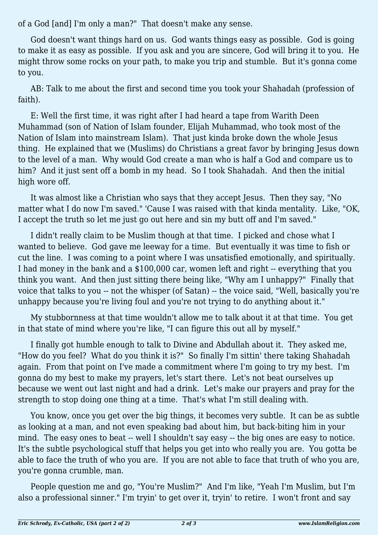of a God [and] I'm only a man?" That doesn't make any sense.

God doesn't want things hard on us. God wants things easy as possible. God is going to make it as easy as possible. If you ask and you are sincere, God will bring it to you. He might throw some rocks on your path, to make you trip and stumble. But it's gonna come to you.

AB: Talk to me about the first and second time you took your Shahadah (profession of faith).

E: Well the first time, it was right after I had heard a tape from Warith Deen Muhammad (son of Nation of Islam founder, Elijah Muhammad, who took most of the Nation of Islam into mainstream Islam). That just kinda broke down the whole Jesus thing. He explained that we (Muslims) do Christians a great favor by bringing Jesus down to the level of a man. Why would God create a man who is half a God and compare us to him? And it just sent off a bomb in my head. So I took Shahadah. And then the initial high wore off.

It was almost like a Christian who says that they accept Jesus. Then they say, "No matter what I do now I'm saved." 'Cause I was raised with that kinda mentality. Like, "OK, I accept the truth so let me just go out here and sin my butt off and I'm saved."

I didn't really claim to be Muslim though at that time. I picked and chose what I wanted to believe. God gave me leeway for a time. But eventually it was time to fish or cut the line. I was coming to a point where I was unsatisfied emotionally, and spiritually. I had money in the bank and a \$100,000 car, women left and right -- everything that you think you want. And then just sitting there being like, "Why am I unhappy?" Finally that voice that talks to you -- not the whisper (of Satan) -- the voice said, "Well, basically you're unhappy because you're living foul and you're not trying to do anything about it."

My stubbornness at that time wouldn't allow me to talk about it at that time. You get in that state of mind where you're like, "I can figure this out all by myself."

I finally got humble enough to talk to Divine and Abdullah about it. They asked me, "How do you feel? What do you think it is?" So finally I'm sittin' there taking Shahadah again. From that point on I've made a commitment where I'm going to try my best. I'm gonna do my best to make my prayers, let's start there. Let's not beat ourselves up because we went out last night and had a drink. Let's make our prayers and pray for the strength to stop doing one thing at a time. That's what I'm still dealing with.

You know, once you get over the big things, it becomes very subtle. It can be as subtle as looking at a man, and not even speaking bad about him, but back-biting him in your mind. The easy ones to beat -- well I shouldn't say easy -- the big ones are easy to notice. It's the subtle psychological stuff that helps you get into who really you are. You gotta be able to face the truth of who you are. If you are not able to face that truth of who you are, you're gonna crumble, man.

People question me and go, "You're Muslim?" And I'm like, "Yeah I'm Muslim, but I'm also a professional sinner." I'm tryin' to get over it, tryin' to retire. I won't front and say